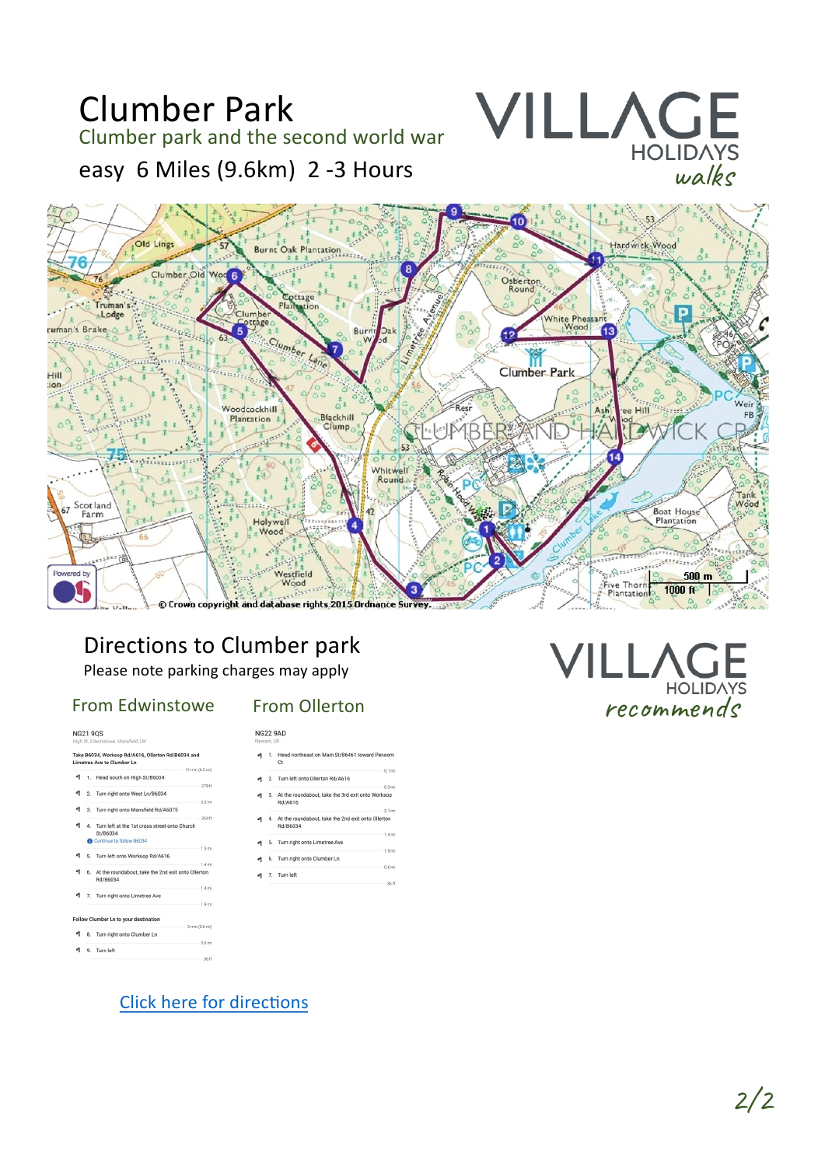

## Directions to Clumber park

Please note parking charges may apply

### From Edwinstowe

#### **From Ollerton**

**NG22 9AD** 

**NG21 9QS** 

.<br>Sheld UK ام<br>Ike B6034, Workson Rd/A616 **Santan Del (DEO34 and** 

| 279 ft                                                |
|-------------------------------------------------------|
|                                                       |
| 0.2 mi                                                |
|                                                       |
| 354 ft                                                |
| 4. Turn left at the 1st cross street onto Church      |
|                                                       |
| $1.3 \text{ mi}$                                      |
|                                                       |
| 1.4 <sub>mi</sub>                                     |
| 6. At the roundabout, take the 2nd exit onto Ollerton |
| 1.4 <sub>mi</sub>                                     |
|                                                       |
| 1.9 mi                                                |
|                                                       |
|                                                       |
| 3 min (0.6 mi)                                        |
| 0.6 mi                                                |
|                                                       |
|                                                       |
|                                                       |

| $1$ . | Head northeast on Main St/B6461 toward Pensom<br>Ct          |
|-------|--------------------------------------------------------------|
|       | $0.1$ mi<br>2. Turn left onto Ollerton Rd/A616               |
|       | $0.3$ mi                                                     |
| 3.    | At the roundabout, take the 3rd exit onto Worksop<br>Rd/A616 |

- At the roundabout, take the 2nd exit onto Ollerton Rd/B6034 1.4 mi
- 5. Turn right onto Limetree Ave
- Turn right onto Clumber Ln
- 

 $\lfloor$  $HOLID$ recommends

**Click here for directions**